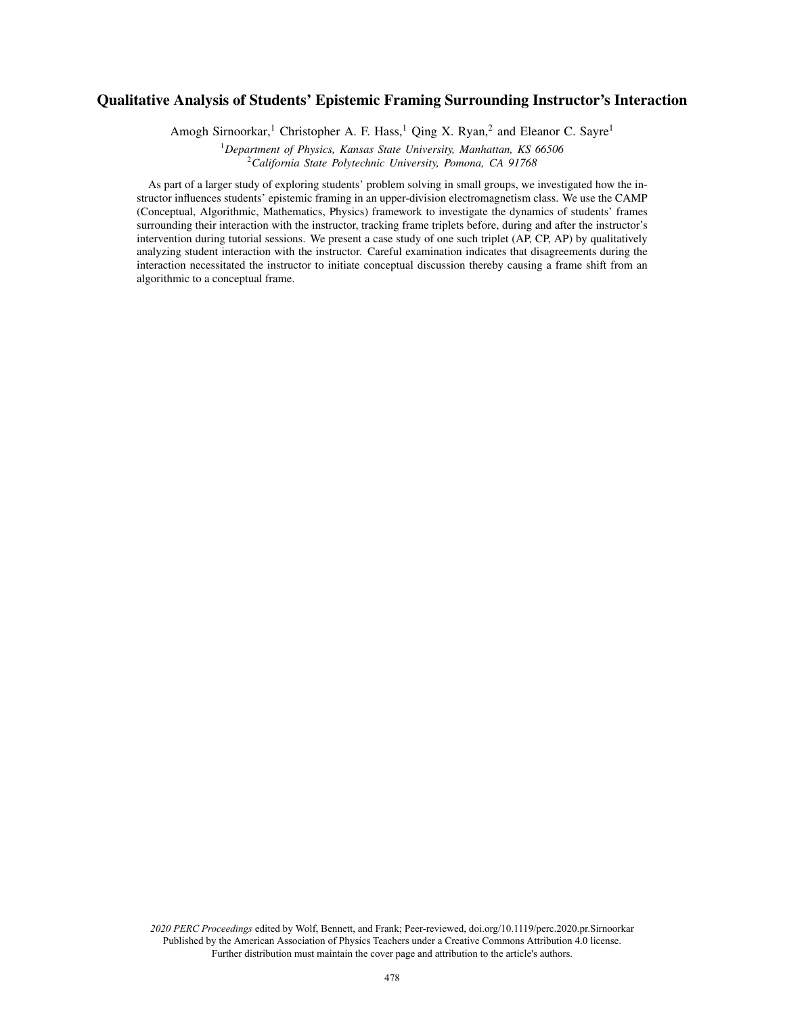# Qualitative Analysis of Students' Epistemic Framing Surrounding Instructor's Interaction

Amogh Sirnoorkar,<sup>1</sup> Christopher A. F. Hass,<sup>1</sup> Qing X. Ryan,<sup>2</sup> and Eleanor C. Sayre<sup>1</sup>

<sup>1</sup>*Department of Physics, Kansas State University, Manhattan, KS 66506* <sup>2</sup>*California State Polytechnic University, Pomona, CA 91768*

As part of a larger study of exploring students' problem solving in small groups, we investigated how the instructor influences students' epistemic framing in an upper-division electromagnetism class. We use the CAMP (Conceptual, Algorithmic, Mathematics, Physics) framework to investigate the dynamics of students' frames surrounding their interaction with the instructor, tracking frame triplets before, during and after the instructor's intervention during tutorial sessions. We present a case study of one such triplet (AP, CP, AP) by qualitatively analyzing student interaction with the instructor. Careful examination indicates that disagreements during the interaction necessitated the instructor to initiate conceptual discussion thereby causing a frame shift from an algorithmic to a conceptual frame.

*2020 PERC Proceedings* edited by Wolf, Bennett, and Frank; Peer-reviewed, doi.org/10.1119/perc.2020.pr.Sirnoorkar Published by the American Association of Physics Teachers under a Creative Commons Attribution 4.0 license. Further distribution must maintain the cover page and attribution to the article's authors.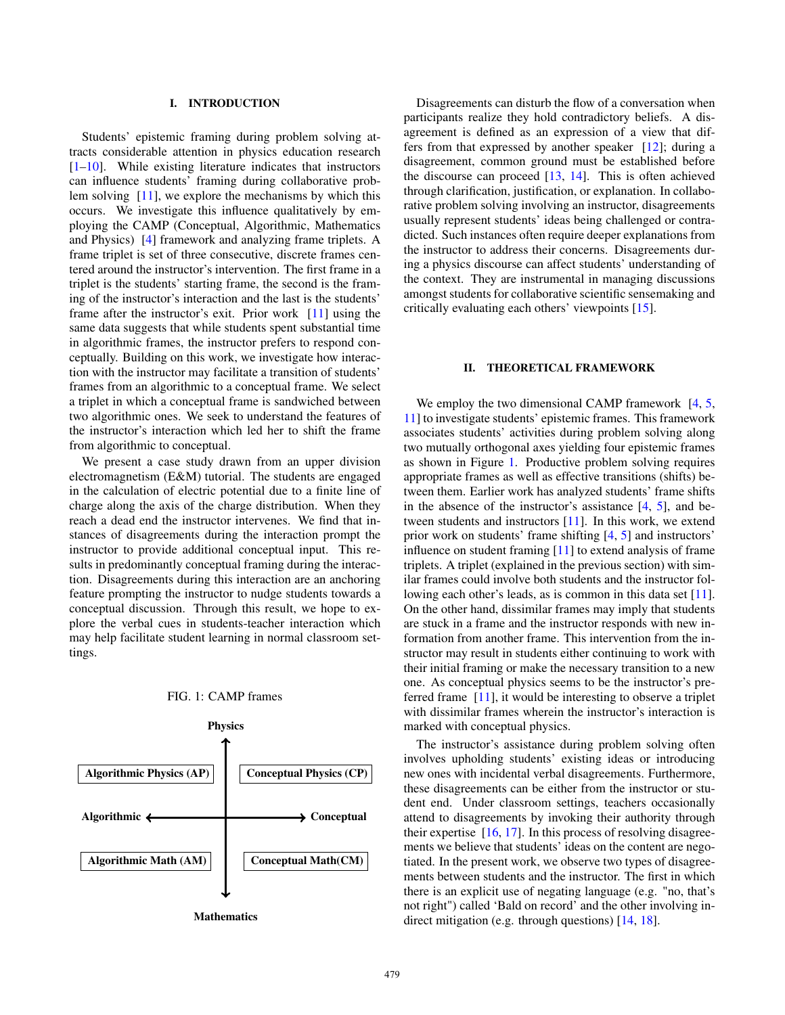# I. INTRODUCTION

Students' epistemic framing during problem solving attracts considerable attention in physics education research [1–10]. While existing literature indicates that instructors can influence students' framing during collaborative problem solving [11], we explore the mechanisms by which this occurs. We investigate this influence qualitatively by employing the CAMP (Conceptual, Algorithmic, Mathematics and Physics) [4] framework and analyzing frame triplets. A frame triplet is set of three consecutive, discrete frames centered around the instructor's intervention. The first frame in a triplet is the students' starting frame, the second is the framing of the instructor's interaction and the last is the students' frame after the instructor's exit. Prior work [11] using the same data suggests that while students spent substantial time in algorithmic frames, the instructor prefers to respond conceptually. Building on this work, we investigate how interaction with the instructor may facilitate a transition of students' frames from an algorithmic to a conceptual frame. We select a triplet in which a conceptual frame is sandwiched between two algorithmic ones. We seek to understand the features of the instructor's interaction which led her to shift the frame from algorithmic to conceptual.

We present a case study drawn from an upper division electromagnetism (E&M) tutorial. The students are engaged in the calculation of electric potential due to a finite line of charge along the axis of the charge distribution. When they reach a dead end the instructor intervenes. We find that instances of disagreements during the interaction prompt the instructor to provide additional conceptual input. This results in predominantly conceptual framing during the interaction. Disagreements during this interaction are an anchoring feature prompting the instructor to nudge students towards a conceptual discussion. Through this result, we hope to explore the verbal cues in students-teacher interaction which may help facilitate student learning in normal classroom settings.

<span id="page-1-0"></span>

FIG. 1: CAMP frames

**Mathematics** 

Disagreements can disturb the flow of a conversation when participants realize they hold contradictory beliefs. A disagreement is defined as an expression of a view that differs from that expressed by another speaker [12]; during a disagreement, common ground must be established before the discourse can proceed [13, 14]. This is often achieved through clarification, justification, or explanation. In collaborative problem solving involving an instructor, disagreements usually represent students' ideas being challenged or contradicted. Such instances often require deeper explanations from the instructor to address their concerns. Disagreements during a physics discourse can affect students' understanding of the context. They are instrumental in managing discussions amongst students for collaborative scientific sensemaking and critically evaluating each others' viewpoints [15].

#### II. THEORETICAL FRAMEWORK

We employ the two dimensional CAMP framework  $[4, 5, 5]$ 11] to investigate students' epistemic frames. This framework associates students' activities during problem solving along two mutually orthogonal axes yielding four epistemic frames as shown in Figure [1.](#page-1-0) Productive problem solving requires appropriate frames as well as effective transitions (shifts) between them. Earlier work has analyzed students' frame shifts in the absence of the instructor's assistance  $[4, 5]$ , and between students and instructors [11]. In this work, we extend prior work on students' frame shifting [4, 5] and instructors' influence on student framing [11] to extend analysis of frame triplets. A triplet (explained in the previous section) with similar frames could involve both students and the instructor following each other's leads, as is common in this data set [11]. On the other hand, dissimilar frames may imply that students are stuck in a frame and the instructor responds with new information from another frame. This intervention from the instructor may result in students either continuing to work with their initial framing or make the necessary transition to a new one. As conceptual physics seems to be the instructor's preferred frame [11], it would be interesting to observe a triplet with dissimilar frames wherein the instructor's interaction is marked with conceptual physics.

The instructor's assistance during problem solving often involves upholding students' existing ideas or introducing new ones with incidental verbal disagreements. Furthermore, these disagreements can be either from the instructor or student end. Under classroom settings, teachers occasionally attend to disagreements by invoking their authority through their expertise  $[16, 17]$ . In this process of resolving disagreements we believe that students' ideas on the content are negotiated. In the present work, we observe two types of disagreements between students and the instructor. The first in which there is an explicit use of negating language (e.g. "no, that's not right") called 'Bald on record' and the other involving indirect mitigation (e.g. through questions) [14, 18].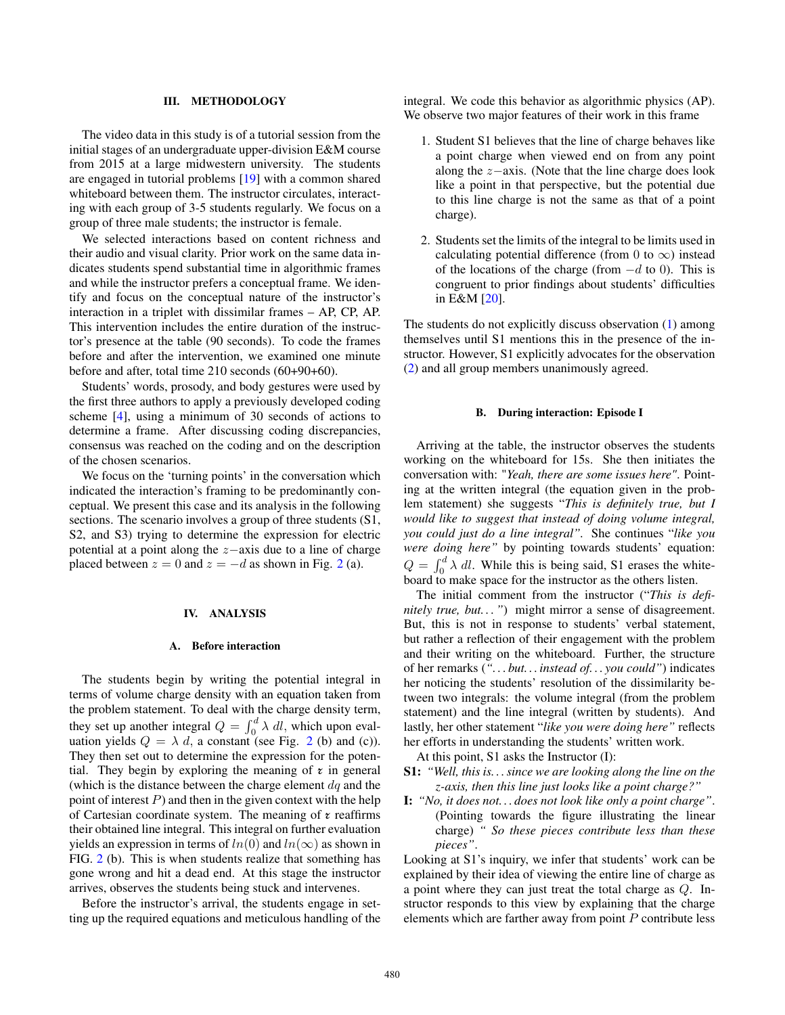## III. METHODOLOGY

The video data in this study is of a tutorial session from the initial stages of an undergraduate upper-division E&M course from 2015 at a large midwestern university. The students are engaged in tutorial problems [19] with a common shared whiteboard between them. The instructor circulates, interacting with each group of 3-5 students regularly. We focus on a group of three male students; the instructor is female.

We selected interactions based on content richness and their audio and visual clarity. Prior work on the same data indicates students spend substantial time in algorithmic frames and while the instructor prefers a conceptual frame. We identify and focus on the conceptual nature of the instructor's interaction in a triplet with dissimilar frames – AP, CP, AP. This intervention includes the entire duration of the instructor's presence at the table (90 seconds). To code the frames before and after the intervention, we examined one minute before and after, total time 210 seconds (60+90+60).

Students' words, prosody, and body gestures were used by the first three authors to apply a previously developed coding scheme [4], using a minimum of 30 seconds of actions to determine a frame. After discussing coding discrepancies, consensus was reached on the coding and on the description of the chosen scenarios.

We focus on the 'turning points' in the conversation which indicated the interaction's framing to be predominantly conceptual. We present this case and its analysis in the following sections. The scenario involves a group of three students  $(S1,$ S2, and S3) trying to determine the expression for electric potential at a point along the z−axis due to a line of charge placed between  $z = 0$  and  $z = -d$  as shown in Fig. 2 (a).

# IV. ANALYSIS

#### A. Before interaction

The students begin by writing the potential integral in terms of volume charge density with an equation taken from the problem statement. To deal with the charge density term, they set up another integral  $Q = \int_0^d \lambda \, dl$ , which upon evaluation yields  $Q = \lambda d$ , a constant (see Fig. 2 (b) and (c)). They then set out to determine the expression for the potential. They begin by exploring the meaning of  $\tau$  in general (which is the distance between the charge element  $dq$  and the point of interest  $P$ ) and then in the given context with the help of Cartesian coordinate system. The meaning of  $\tau$  reaffirms their obtained line integral. This integral on further evaluation yields an expression in terms of  $ln(0)$  and  $ln(\infty)$  as shown in FIG. 2 (b). This is when students realize that something has gone wrong and hit a dead end. At this stage the instructor arrives, observes the students being stuck and intervenes.

Before the instructor's arrival, the students engage in setting up the required equations and meticulous handling of the integral. We code this behavior as algorithmic physics (AP). We observe two major features of their work in this frame

- <span id="page-2-0"></span>1. Student S1 believes that the line of charge behaves like a point charge when viewed end on from any point along the z−axis. (Note that the line charge does look like a point in that perspective, but the potential due to this line charge is not the same as that of a point charge).
- <span id="page-2-1"></span>2. Students set the limits of the integral to be limits used in calculating potential difference (from 0 to  $\infty$ ) instead of the locations of the charge (from  $-d$  to 0). This is congruent to prior findings about students' difficulties in E&M [20].

The students do not explicitly discuss observation [\(1\)](#page-2-0) among themselves until S1 mentions this in the presence of the instructor. However, S1 explicitly advocates for the observation [\(2\)](#page-2-1) and all group members unanimously agreed.

#### B. During interaction: Episode I

Arriving at the table, the instructor observes the students working on the whiteboard for 15s. She then initiates the conversation with: "*Yeah, there are some issues here"*. Pointing at the written integral (the equation given in the problem statement) she suggests "*This is definitely true, but I would like to suggest that instead of doing volume integral, you could just do a line integral".* She continues "*like you were doing here"* by pointing towards students' equation:  $Q = \int_0^d \lambda \, dl$ . While this is being said, S1 erases the whiteboard to make space for the instructor as the others listen.

The initial comment from the instructor ("*This is definitely true, but. . . "*) might mirror a sense of disagreement. But, this is not in response to students' verbal statement, but rather a reflection of their engagement with the problem and their writing on the whiteboard. Further, the structure of her remarks (*". . . but. . . instead of. . . you could"*) indicates her noticing the students' resolution of the dissimilarity between two integrals: the volume integral (from the problem statement) and the line integral (written by students). And lastly, her other statement "*like you were doing here"* reflects her efforts in understanding the students' written work.

At this point, S1 asks the Instructor (I):

- S1: *"Well, this is. . . since we are looking along the line on the z-axis, then this line just looks like a point charge?"*
- I: *"No, it does not. . . does not look like only a point charge"*. (Pointing towards the figure illustrating the linear charge) *" So these pieces contribute less than these pieces"*.

Looking at S1's inquiry, we infer that students' work can be explained by their idea of viewing the entire line of charge as a point where they can just treat the total charge as Q. Instructor responds to this view by explaining that the charge elements which are farther away from point  $P$  contribute less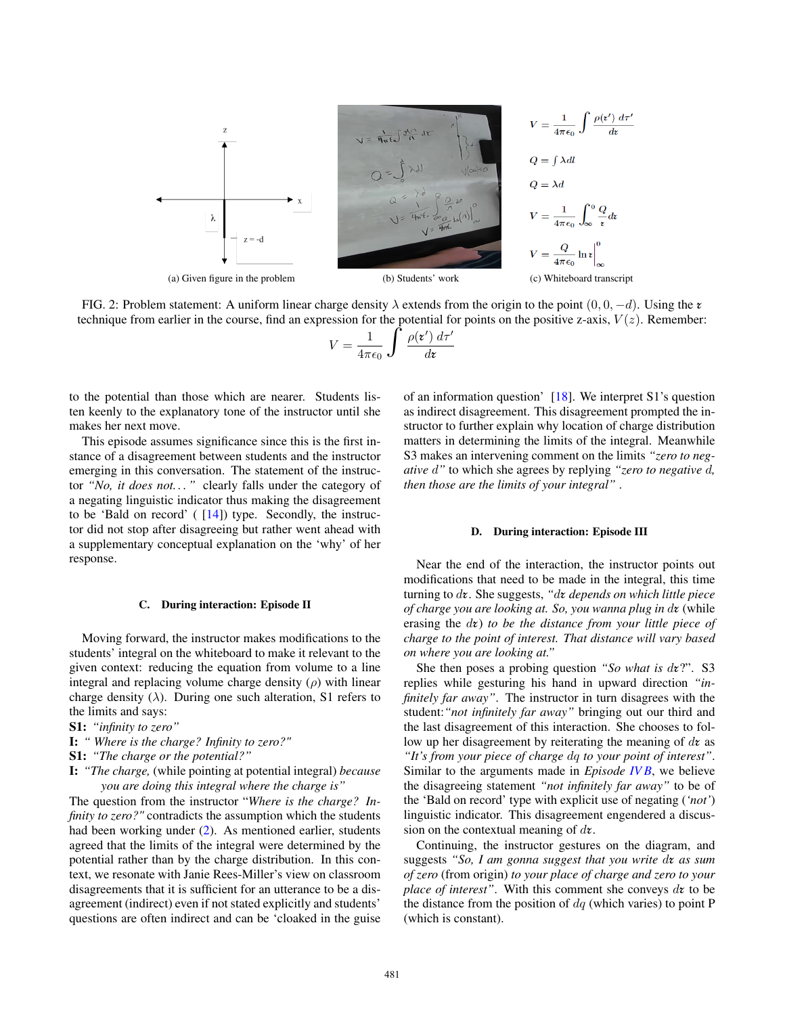

FIG. 2: Problem statement: A uniform linear charge density  $\lambda$  extends from the origin to the point  $(0, 0, -d)$ . Using the  $\zeta$ technique from earlier in the course, find an expression for the potential for points on the positive z-axis,  $V(z)$ . Remember:

$$
V = \frac{1}{4\pi\epsilon_0} \int \frac{\rho(\mathbf{z}') d\tau'}{d\mathbf{z}}
$$

to the potential than those which are nearer. Students listen keenly to the explanatory tone of the instructor until she makes her next move.

This episode assumes significance since this is the first instance of a disagreement between students and the instructor emerging in this conversation. The statement of the instructor *"No, it does not. . . "* clearly falls under the category of a negating linguistic indicator thus making the disagreement to be 'Bald on record'  $(14)$  type. Secondly, the instructor did not stop after disagreeing but rather went ahead with a supplementary conceptual explanation on the 'why' of her response.

# C. During interaction: Episode II

Moving forward, the instructor makes modifications to the students' integral on the whiteboard to make it relevant to the given context: reducing the equation from volume to a line integral and replacing volume charge density  $(\rho)$  with linear charge density ( $\lambda$ ). During one such alteration, S1 refers to the limits and says:

- S1: *"infinity to zero"*
- I: *" Where is the charge? Infinity to zero?"*
- S1: *"The charge or the potential?"*
- I: *"The charge,* (while pointing at potential integral) *because you are doing this integral where the charge is"*

The question from the instructor "*Where is the charge? Infinity to zero?"* contradicts the assumption which the students had been working under (2). As mentioned earlier, students agreed that the limits of the integral were determined by the potential rather than by the charge distribution. In this context, we resonate with Janie Rees-Miller's view on classroom disagreements that it is sufficient for an utterance to be a disagreement (indirect) even if not stated explicitly and students' questions are often indirect and can be 'cloaked in the guise of an information question' [18]. We interpret S1's question as indirect disagreement. This disagreement prompted the instructor to further explain why location of charge distribution matters in determining the limits of the integral. Meanwhile S3 makes an intervening comment on the limits *"zero to negative* d*"* to which she agrees by replying *"zero to negative* d*, then those are the limits of your integral"* .

#### D. During interaction: Episode III

Near the end of the interaction, the instructor points out modifications that need to be made in the integral, this time turning to d**r**. She suggests, *"*d**r** *depends on which little piece of charge you are looking at. So, you wanna plug in* d**r** (while erasing the d**r**) *to be the distance from your little piece of charge to the point of interest. That distance will vary based on where you are looking at."*

She then poses a probing question *"So what is* d**r**?". S3 replies while gesturing his hand in upward direction *"infinitely far away"*. The instructor in turn disagrees with the student:*"not infinitely far away"* bringing out our third and the last disagreement of this interaction. She chooses to follow up her disagreement by reiterating the meaning of d**r** as *"It's from your piece of charge* dq *to your point of interest"*. Similar to the arguments made in *Episode IV B*, we believe the disagreeing statement *"not infinitely far away"* to be of the 'Bald on record' type with explicit use of negating (*'not'*) linguistic indicator. This disagreement engendered a discussion on the contextual meaning of d**r**.

Continuing, the instructor gestures on the diagram, and suggests *"So, I am gonna suggest that you write* d**r** *as sum of zero* (from origin) *to your place of charge and zero to your place of interest"*. With this comment she conveys d**r** to be the distance from the position of  $dq$  (which varies) to point P (which is constant).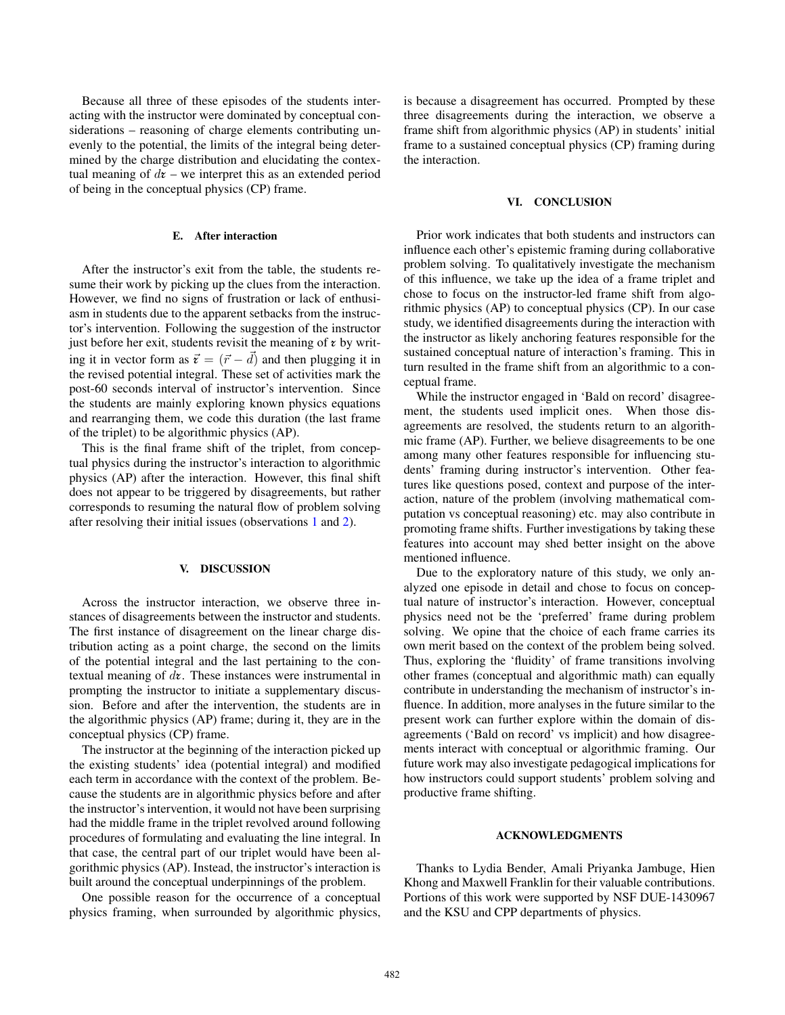Because all three of these episodes of the students interacting with the instructor were dominated by conceptual considerations – reasoning of charge elements contributing unevenly to the potential, the limits of the integral being determined by the charge distribution and elucidating the contextual meaning of  $d\mathbf{z}$  – we interpret this as an extended period of being in the conceptual physics (CP) frame.

# E. After interaction

After the instructor's exit from the table, the students resume their work by picking up the clues from the interaction. However, we find no signs of frustration or lack of enthusiasm in students due to the apparent setbacks from the instructor's intervention. Following the suggestion of the instructor just before her exit, students revisit the meaning of  $\epsilon$  by writing it in vector form as  $\vec{\tau} = (\vec{r} - \vec{d})$  and then plugging it in the revised potential integral. These set of activities mark the post-60 seconds interval of instructor's intervention. Since the students are mainly exploring known physics equations and rearranging them, we code this duration (the last frame of the triplet) to be algorithmic physics (AP).

This is the final frame shift of the triplet, from conceptual physics during the instructor's interaction to algorithmic physics (AP) after the interaction. However, this final shift does not appear to be triggered by disagreements, but rather corresponds to resuming the natural flow of problem solving after resolving their initial issues (observations 1 and 2).

# V. DISCUSSION

Across the instructor interaction, we observe three instances of disagreements between the instructor and students. The first instance of disagreement on the linear charge distribution acting as a point charge, the second on the limits of the potential integral and the last pertaining to the contextual meaning of d**r**. These instances were instrumental in prompting the instructor to initiate a supplementary discussion. Before and after the intervention, the students are in the algorithmic physics (AP) frame; during it, they are in the conceptual physics (CP) frame.

The instructor at the beginning of the interaction picked up the existing students' idea (potential integral) and modified each term in accordance with the context of the problem. Because the students are in algorithmic physics before and after the instructor's intervention, it would not have been surprising had the middle frame in the triplet revolved around following procedures of formulating and evaluating the line integral. In that case, the central part of our triplet would have been algorithmic physics (AP). Instead, the instructor's interaction is built around the conceptual underpinnings of the problem.

One possible reason for the occurrence of a conceptual physics framing, when surrounded by algorithmic physics, is because a disagreement has occurred. Prompted by these three disagreements during the interaction, we observe a frame shift from algorithmic physics (AP) in students' initial frame to a sustained conceptual physics (CP) framing during the interaction.

## VI. CONCLUSION

Prior work indicates that both students and instructors can influence each other's epistemic framing during collaborative problem solving. To qualitatively investigate the mechanism of this influence, we take up the idea of a frame triplet and chose to focus on the instructor-led frame shift from algorithmic physics (AP) to conceptual physics (CP). In our case study, we identified disagreements during the interaction with the instructor as likely anchoring features responsible for the sustained conceptual nature of interaction's framing. This in turn resulted in the frame shift from an algorithmic to a conceptual frame.

While the instructor engaged in 'Bald on record' disagreement, the students used implicit ones. When those disagreements are resolved, the students return to an algorithmic frame (AP). Further, we believe disagreements to be one among many other features responsible for influencing students' framing during instructor's intervention. Other features like questions posed, context and purpose of the interaction, nature of the problem (involving mathematical computation vs conceptual reasoning) etc. may also contribute in promoting frame shifts. Further investigations by taking these features into account may shed better insight on the above mentioned influence.

Due to the exploratory nature of this study, we only analyzed one episode in detail and chose to focus on conceptual nature of instructor's interaction. However, conceptual physics need not be the 'preferred' frame during problem solving. We opine that the choice of each frame carries its own merit based on the context of the problem being solved. Thus, exploring the 'fluidity' of frame transitions involving other frames (conceptual and algorithmic math) can equally contribute in understanding the mechanism of instructor's influence. In addition, more analyses in the future similar to the present work can further explore within the domain of disagreements ('Bald on record' vs implicit) and how disagreements interact with conceptual or algorithmic framing. Our future work may also investigate pedagogical implications for how instructors could support students' problem solving and productive frame shifting.

#### ACKNOWLEDGMENTS

Thanks to Lydia Bender, Amali Priyanka Jambuge, Hien Khong and Maxwell Franklin for their valuable contributions. Portions of this work were supported by NSF DUE-1430967 and the KSU and CPP departments of physics.